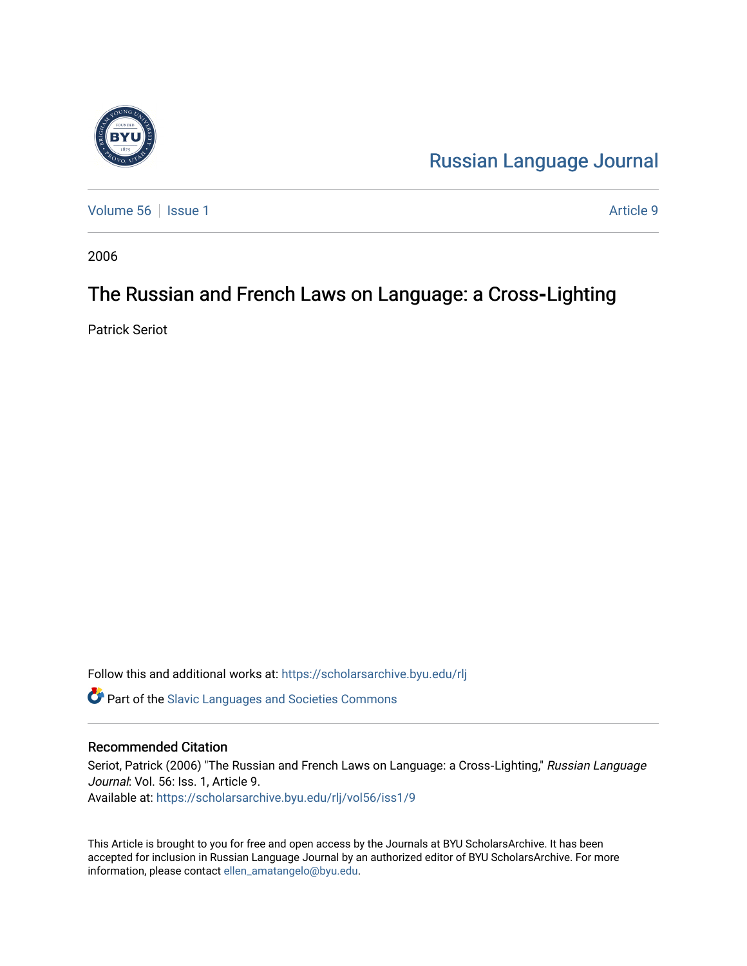

[Russian Language Journal](https://scholarsarchive.byu.edu/rlj) 

[Volume 56](https://scholarsarchive.byu.edu/rlj/vol56) | [Issue 1](https://scholarsarchive.byu.edu/rlj/vol56/iss1) Article 9

2006

# The Russian and French Laws on Language: a Cross-Lighting

Patrick Seriot

Follow this and additional works at: [https://scholarsarchive.byu.edu/rlj](https://scholarsarchive.byu.edu/rlj?utm_source=scholarsarchive.byu.edu%2Frlj%2Fvol56%2Fiss1%2F9&utm_medium=PDF&utm_campaign=PDFCoverPages)

**C** Part of the Slavic Languages and Societies Commons

#### Recommended Citation

Seriot, Patrick (2006) "The Russian and French Laws on Language: a Cross-Lighting," Russian Language Journal: Vol. 56: Iss. 1, Article 9. Available at: [https://scholarsarchive.byu.edu/rlj/vol56/iss1/9](https://scholarsarchive.byu.edu/rlj/vol56/iss1/9?utm_source=scholarsarchive.byu.edu%2Frlj%2Fvol56%2Fiss1%2F9&utm_medium=PDF&utm_campaign=PDFCoverPages) 

This Article is brought to you for free and open access by the Journals at BYU ScholarsArchive. It has been accepted for inclusion in Russian Language Journal by an authorized editor of BYU ScholarsArchive. For more information, please contact [ellen\\_amatangelo@byu.edu.](mailto:ellen_amatangelo@byu.edu)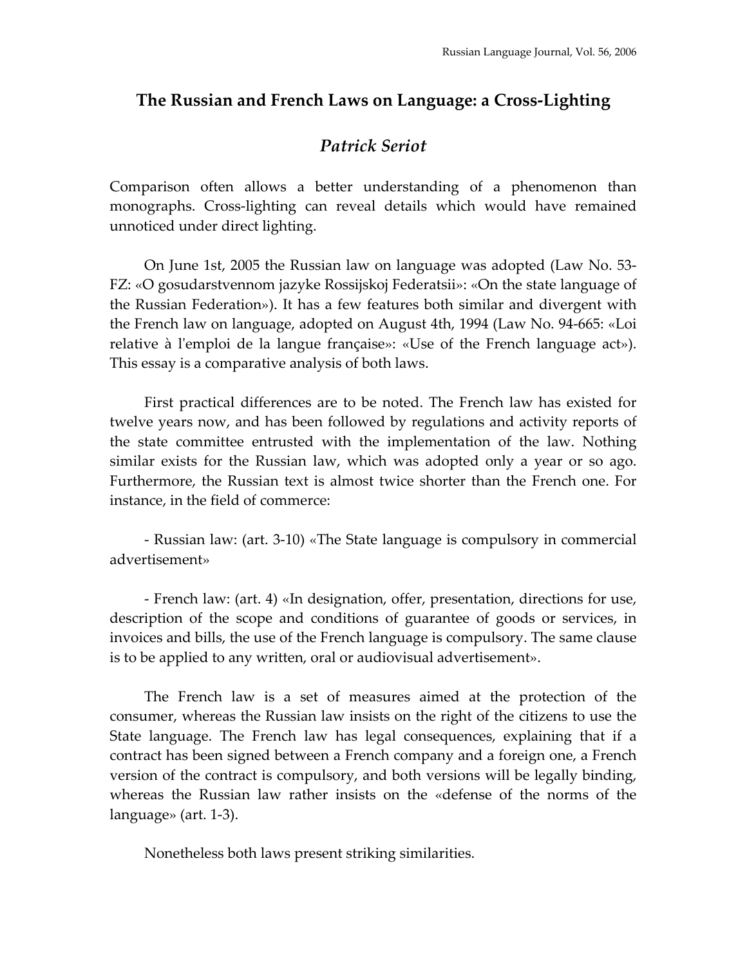### **The Russian and French Laws on Language: a Cross‐Lighting**

## *Patrick Seriot*

Comparison often allows a better understanding of a phenomenon than monographs. Cross‐lighting can reveal details which would have remained unnoticed under direct lighting.

On June 1st, 2005 the Russian law on language was adopted (Law No. 53‐ FZ: «O gosudarstvennom jazyke Rossijskoj Federatsii»: «On the state language of the Russian Federation»). It has a few features both similar and divergent with the French law on language, adopted on August 4th, 1994 (Law No. 94‐665: «Loi relative à l'emploi de la langue française»: «Use of the French language act»). This essay is a comparative analysis of both laws.

First practical differences are to be noted. The French law has existed for twelve years now, and has been followed by regulations and activity reports of the state committee entrusted with the implementation of the law. Nothing similar exists for the Russian law, which was adopted only a year or so ago. Furthermore, the Russian text is almost twice shorter than the French one. For instance, in the field of commerce:

‐ Russian law: (art. 3‐10) «The State language is compulsory in commercial advertisement»

‐ French law: (art. 4) «In designation, offer, presentation, directions for use, description of the scope and conditions of guarantee of goods or services, in invoices and bills, the use of the French language is compulsory. The same clause is to be applied to any written, oral or audiovisual advertisement».

The French law is a set of measures aimed at the protection of the consumer, whereas the Russian law insists on the right of the citizens to use the State language. The French law has legal consequences, explaining that if a contract has been signed between a French company and a foreign one, a French version of the contract is compulsory, and both versions will be legally binding, whereas the Russian law rather insists on the «defense of the norms of the language» (art. 1‐3).

Nonetheless both laws present striking similarities.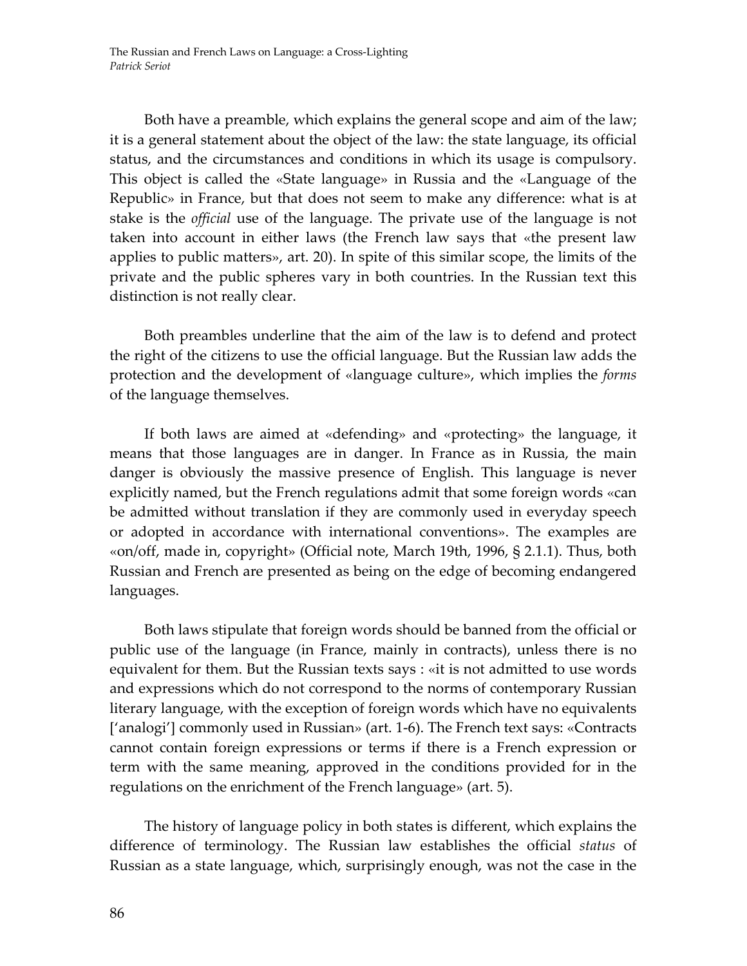Both have a preamble, which explains the general scope and aim of the law; it is a general statement about the object of the law: the state language, its official status, and the circumstances and conditions in which its usage is compulsory. This object is called the «State language» in Russia and the «Language of the Republic» in France, but that does not seem to make any difference: what is at stake is the *official* use of the language. The private use of the language is not taken into account in either laws (the French law says that «the present law applies to public matters», art. 20). In spite of this similar scope, the limits of the private and the public spheres vary in both countries. In the Russian text this distinction is not really clear.

Both preambles underline that the aim of the law is to defend and protect the right of the citizens to use the official language. But the Russian law adds the protection and the development of «language culture», which implies the *forms* of the language themselves.

If both laws are aimed at «defending» and «protecting» the language, it means that those languages are in danger. In France as in Russia, the main danger is obviously the massive presence of English. This language is never explicitly named, but the French regulations admit that some foreign words «can be admitted without translation if they are commonly used in everyday speech or adopted in accordance with international conventions». The examples are «on/off, made in, copyright» (Official note, March 19th, 1996, § 2.1.1). Thus, both Russian and French are presented as being on the edge of becoming endangered languages.

Both laws stipulate that foreign words should be banned from the official or public use of the language (in France, mainly in contracts), unless there is no equivalent for them. But the Russian texts says : «it is not admitted to use words and expressions which do not correspond to the norms of contemporary Russian literary language, with the exception of foreign words which have no equivalents ['analogi'] commonly used in Russian» (art. 1‐6). The French text says: «Contracts cannot contain foreign expressions or terms if there is a French expression or term with the same meaning, approved in the conditions provided for in the regulations on the enrichment of the French language» (art. 5).

The history of language policy in both states is different, which explains the difference of terminology. The Russian law establishes the official *status* of Russian as a state language, which, surprisingly enough, was not the case in the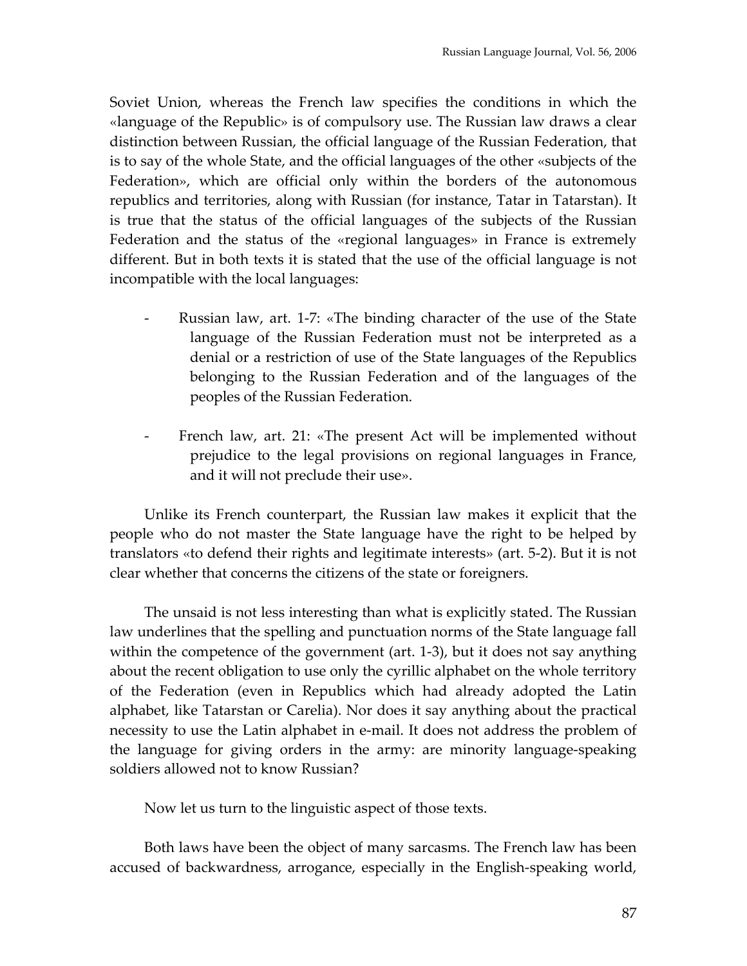Soviet Union, whereas the French law specifies the conditions in which the «language of the Republic» is of compulsory use. The Russian law draws a clear distinction between Russian, the official language of the Russian Federation, that is to say of the whole State, and the official languages of the other «subjects of the Federation», which are official only within the borders of the autonomous republics and territories, along with Russian (for instance, Tatar in Tatarstan). It is true that the status of the official languages of the subjects of the Russian Federation and the status of the «regional languages» in France is extremely different. But in both texts it is stated that the use of the official language is not incompatible with the local languages:

- ‐ Russian law, art. 1‐7: «The binding character of the use of the State language of the Russian Federation must not be interpreted as a denial or a restriction of use of the State languages of the Republics belonging to the Russian Federation and of the languages of the peoples of the Russian Federation.
- French law, art. 21: «The present Act will be implemented without prejudice to the legal provisions on regional languages in France, and it will not preclude their use».

Unlike its French counterpart, the Russian law makes it explicit that the people who do not master the State language have the right to be helped by translators «to defend their rights and legitimate interests» (art. 5‐2). But it is not clear whether that concerns the citizens of the state or foreigners.

The unsaid is not less interesting than what is explicitly stated. The Russian law underlines that the spelling and punctuation norms of the State language fall within the competence of the government (art. 1-3), but it does not say anything about the recent obligation to use only the cyrillic alphabet on the whole territory of the Federation (even in Republics which had already adopted the Latin alphabet, like Tatarstan or Carelia). Nor does it say anything about the practical necessity to use the Latin alphabet in e‐mail. It does not address the problem of the language for giving orders in the army: are minority language‐speaking soldiers allowed not to know Russian?

Now let us turn to the linguistic aspect of those texts.

Both laws have been the object of many sarcasms. The French law has been accused of backwardness, arrogance, especially in the English‐speaking world,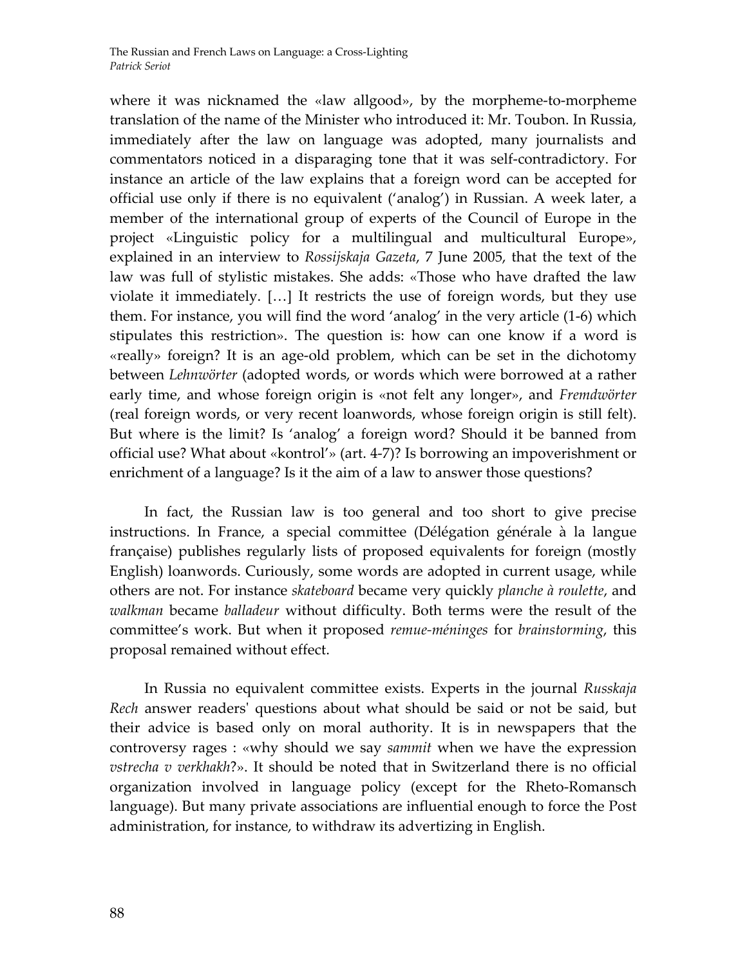where it was nicknamed the «law allgood», by the morpheme-to-morpheme translation of the name of the Minister who introduced it: Mr. Toubon. In Russia, immediately after the law on language was adopted, many journalists and commentators noticed in a disparaging tone that it was self‐contradictory. For instance an article of the law explains that a foreign word can be accepted for official use only if there is no equivalent ('analog') in Russian. A week later, a member of the international group of experts of the Council of Europe in the project «Linguistic policy for a multilingual and multicultural Europe», explained in an interview to *Rossijskaja Gazeta*, 7 June 2005, that the text of the law was full of stylistic mistakes. She adds: «Those who have drafted the law violate it immediately. […] It restricts the use of foreign words, but they use them. For instance, you will find the word 'analog' in the very article (1‐6) which stipulates this restriction». The question is: how can one know if a word is «really» foreign? It is an age‐old problem, which can be set in the dichotomy between *Lehnwörter* (adopted words, or words which were borrowed at a rather early time, and whose foreign origin is «not felt any longer», and *Fremdwörter* (real foreign words, or very recent loanwords, whose foreign origin is still felt). But where is the limit? Is 'analog' a foreign word? Should it be banned from official use? What about «kontrol'» (art. 4‐7)? Is borrowing an impoverishment or enrichment of a language? Is it the aim of a law to answer those questions?

In fact, the Russian law is too general and too short to give precise instructions. In France, a special committee (Délégation générale à la langue française) publishes regularly lists of proposed equivalents for foreign (mostly English) loanwords. Curiously, some words are adopted in current usage, while others are not. For instance *skateboard* became very quickly *planche à roulette*, and *walkman* became *balladeur* without difficulty. Both terms were the result of the committee's work. But when it proposed *remue‐méninges* for *brainstorming*, this proposal remained without effect.

In Russia no equivalent committee exists. Experts in the journal *Russkaja Rech* answer readersʹ questions about what should be said or not be said, but their advice is based only on moral authority. It is in newspapers that the controversy rages : «why should we say *sammit* when we have the expression *vstrecha v verkhakh*?». It should be noted that in Switzerland there is no official organization involved in language policy (except for the Rheto‐Romansch language). But many private associations are influential enough to force the Post administration, for instance, to withdraw its advertizing in English.